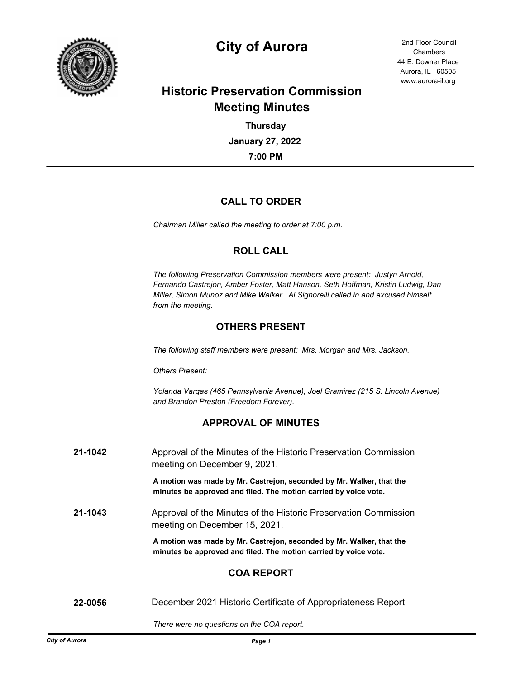

# **City of Aurora** 2nd Floor Council

44 E. Downer Place Aurora, IL 60505 www.aurora-il.org Chambers

# **Historic Preservation Commission Meeting Minutes**

**7:00 PM January 27, 2022 Thursday**

## **CALL TO ORDER**

*Chairman Miller called the meeting to order at 7:00 p.m.*

## **ROLL CALL**

*The following Preservation Commission members were present: Justyn Arnold, Fernando Castrejon, Amber Foster, Matt Hanson, Seth Hoffman, Kristin Ludwig, Dan Miller, Simon Munoz and Mike Walker. Al Signorelli called in and excused himself from the meeting.*

## **OTHERS PRESENT**

*The following staff members were present: Mrs. Morgan and Mrs. Jackson.*

*Others Present:* 

*Yolanda Vargas (465 Pennsylvania Avenue), Joel Gramirez (215 S. Lincoln Avenue) and Brandon Preston (Freedom Forever).*

## **APPROVAL OF MINUTES**

| 21-1042 | Approval of the Minutes of the Historic Preservation Commission<br>meeting on December 9, 2021.                                          |
|---------|------------------------------------------------------------------------------------------------------------------------------------------|
|         | A motion was made by Mr. Castrejon, seconded by Mr. Walker, that the<br>minutes be approved and filed. The motion carried by voice vote. |
| 21-1043 | Approval of the Minutes of the Historic Preservation Commission<br>meeting on December 15, 2021.                                         |
|         | A motion was made by Mr. Castrejon, seconded by Mr. Walker, that the<br>minutes be approved and filed. The motion carried by voice vote. |
|         | <b>COA REPORT</b>                                                                                                                        |
| 22-0056 | December 2021 Historic Certificate of Appropriateness Report                                                                             |

*There were no questions on the COA report.*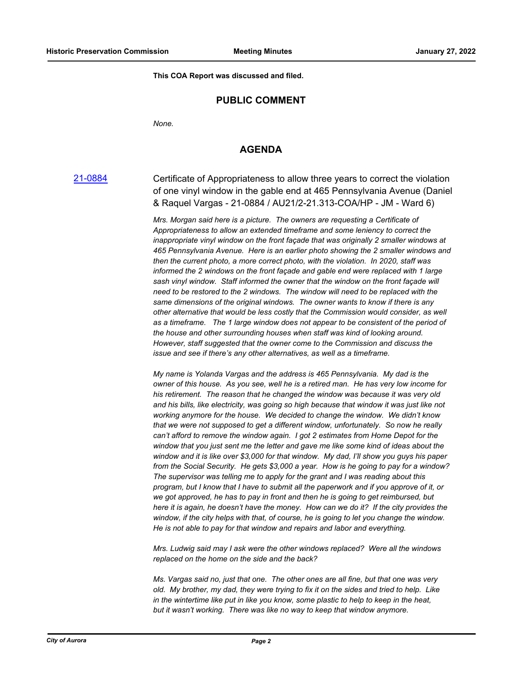**This COA Report was discussed and filed.**

## **PUBLIC COMMENT**

*None.*

### **AGENDA**

[21-0884](http://aurora-il.legistar.com/gateway.aspx?m=l&id=/matter.aspx?key=10901) Certificate of Appropriateness to allow three years to correct the violation of one vinyl window in the gable end at 465 Pennsylvania Avenue (Daniel & Raquel Vargas - 21-0884 / AU21/2-21.313-COA/HP - JM - Ward 6)

> *Mrs. Morgan said here is a picture. The owners are requesting a Certificate of Appropriateness to allow an extended timeframe and some leniency to correct the inappropriate vinyl window on the front façade that was originally 2 smaller windows at 465 Pennsylvania Avenue. Here is an earlier photo showing the 2 smaller windows and then the current photo, a more correct photo, with the violation. In 2020, staff was informed the 2 windows on the front façade and gable end were replaced with 1 large sash vinyl window. Staff informed the owner that the window on the front façade will need to be restored to the 2 windows. The window will need to be replaced with the same dimensions of the original windows. The owner wants to know if there is any other alternative that would be less costly that the Commission would consider, as well as a timeframe. The 1 large window does not appear to be consistent of the period of the house and other surrounding houses when staff was kind of looking around. However, staff suggested that the owner come to the Commission and discuss the issue and see if there's any other alternatives, as well as a timeframe.*

> *My name is Yolanda Vargas and the address is 465 Pennsylvania. My dad is the owner of this house. As you see, well he is a retired man. He has very low income for his retirement. The reason that he changed the window was because it was very old and his bills, like electricity, was going so high because that window it was just like not working anymore for the house. We decided to change the window. We didn't know that we were not supposed to get a different window, unfortunately. So now he really can't afford to remove the window again. I got 2 estimates from Home Depot for the window that you just sent me the letter and gave me like some kind of ideas about the window and it is like over \$3,000 for that window. My dad, I'll show you guys his paper from the Social Security. He gets \$3,000 a year. How is he going to pay for a window? The supervisor was telling me to apply for the grant and I was reading about this program, but I know that I have to submit all the paperwork and if you approve of it, or we got approved, he has to pay in front and then he is going to get reimbursed, but here it is again, he doesn't have the money. How can we do it? If the city provides the window, if the city helps with that, of course, he is going to let you change the window. He is not able to pay for that window and repairs and labor and everything.*

*Mrs. Ludwig said may I ask were the other windows replaced? Were all the windows replaced on the home on the side and the back?*

*Ms. Vargas said no, just that one. The other ones are all fine, but that one was very old. My brother, my dad, they were trying to fix it on the sides and tried to help. Like in the wintertime like put in like you know, some plastic to help to keep in the heat, but it wasn't working. There was like no way to keep that window anymore.*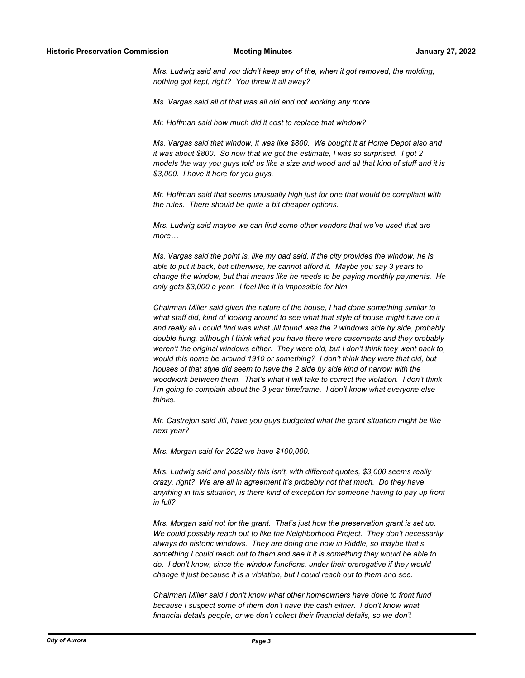*Mrs. Ludwig said and you didn't keep any of the, when it got removed, the molding, nothing got kept, right? You threw it all away?*

*Ms. Vargas said all of that was all old and not working any more.*

*Mr. Hoffman said how much did it cost to replace that window?*

*Ms. Vargas said that window, it was like \$800. We bought it at Home Depot also and it was about \$800. So now that we got the estimate, I was so surprised. I got 2 models the way you guys told us like a size and wood and all that kind of stuff and it is \$3,000. I have it here for you guys.*

*Mr. Hoffman said that seems unusually high just for one that would be compliant with the rules. There should be quite a bit cheaper options.*

*Mrs. Ludwig said maybe we can find some other vendors that we've used that are more…*

*Ms. Vargas said the point is, like my dad said, if the city provides the window, he is able to put it back, but otherwise, he cannot afford it. Maybe you say 3 years to change the window, but that means like he needs to be paying monthly payments. He only gets \$3,000 a year. I feel like it is impossible for him.*

*Chairman Miller said given the nature of the house, I had done something similar to what staff did, kind of looking around to see what that style of house might have on it and really all I could find was what Jill found was the 2 windows side by side, probably double hung, although I think what you have there were casements and they probably weren't the original windows either. They were old, but I don't think they went back to, would this home be around 1910 or something? I don't think they were that old, but houses of that style did seem to have the 2 side by side kind of narrow with the woodwork between them. That's what it will take to correct the violation. I don't think I'm going to complain about the 3 year timeframe. I don't know what everyone else thinks.*

*Mr. Castrejon said Jill, have you guys budgeted what the grant situation might be like next year?*

*Mrs. Morgan said for 2022 we have \$100,000.*

*Mrs. Ludwig said and possibly this isn't, with different quotes, \$3,000 seems really crazy, right? We are all in agreement it's probably not that much. Do they have anything in this situation, is there kind of exception for someone having to pay up front in full?*

*Mrs. Morgan said not for the grant. That's just how the preservation grant is set up. We could possibly reach out to like the Neighborhood Project. They don't necessarily always do historic windows. They are doing one now in Riddle, so maybe that's something I could reach out to them and see if it is something they would be able to do. I don't know, since the window functions, under their prerogative if they would change it just because it is a violation, but I could reach out to them and see.*

*Chairman Miller said I don't know what other homeowners have done to front fund because I suspect some of them don't have the cash either. I don't know what financial details people, or we don't collect their financial details, so we don't*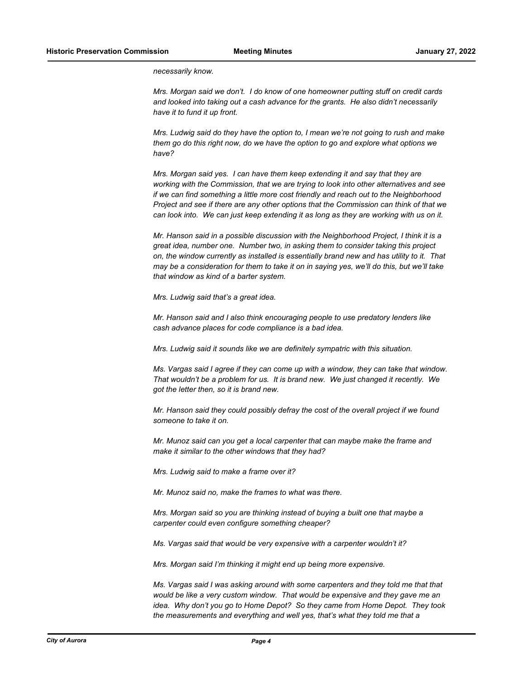*necessarily know.*

*Mrs. Morgan said we don't. I do know of one homeowner putting stuff on credit cards and looked into taking out a cash advance for the grants. He also didn't necessarily have it to fund it up front.*

*Mrs. Ludwig said do they have the option to, I mean we're not going to rush and make them go do this right now, do we have the option to go and explore what options we have?*

*Mrs. Morgan said yes. I can have them keep extending it and say that they are working with the Commission, that we are trying to look into other alternatives and see if we can find something a little more cost friendly and reach out to the Neighborhood Project and see if there are any other options that the Commission can think of that we can look into. We can just keep extending it as long as they are working with us on it.*

*Mr. Hanson said in a possible discussion with the Neighborhood Project, I think it is a great idea, number one. Number two, in asking them to consider taking this project on, the window currently as installed is essentially brand new and has utility to it. That may be a consideration for them to take it on in saying yes, we'll do this, but we'll take that window as kind of a barter system.*

*Mrs. Ludwig said that's a great idea.*

*Mr. Hanson said and I also think encouraging people to use predatory lenders like cash advance places for code compliance is a bad idea.*

*Mrs. Ludwig said it sounds like we are definitely sympatric with this situation.*

*Ms. Vargas said I agree if they can come up with a window, they can take that window. That wouldn't be a problem for us. It is brand new. We just changed it recently. We got the letter then, so it is brand new.*

*Mr. Hanson said they could possibly defray the cost of the overall project if we found someone to take it on.*

*Mr. Munoz said can you get a local carpenter that can maybe make the frame and make it similar to the other windows that they had?*

*Mrs. Ludwig said to make a frame over it?*

*Mr. Munoz said no, make the frames to what was there.*

*Mrs. Morgan said so you are thinking instead of buying a built one that maybe a carpenter could even configure something cheaper?*

*Ms. Vargas said that would be very expensive with a carpenter wouldn't it?*

*Mrs. Morgan said I'm thinking it might end up being more expensive.*

*Ms. Vargas said I was asking around with some carpenters and they told me that that would be like a very custom window. That would be expensive and they gave me an idea. Why don't you go to Home Depot? So they came from Home Depot. They took the measurements and everything and well yes, that's what they told me that a*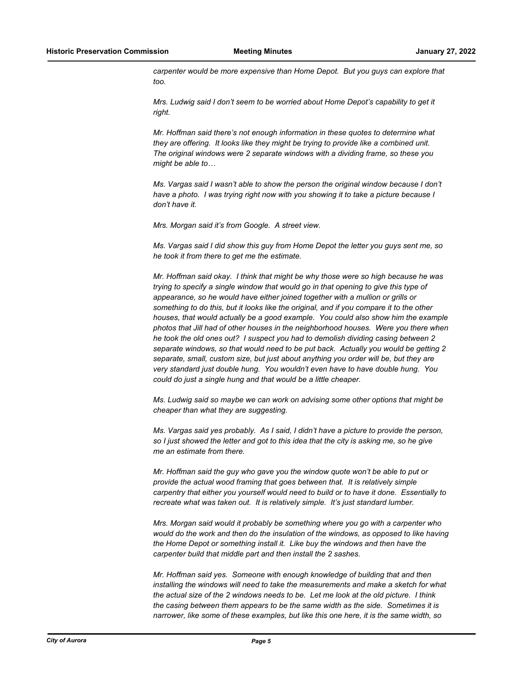*carpenter would be more expensive than Home Depot. But you guys can explore that too.*

*Mrs. Ludwig said I don't seem to be worried about Home Depot's capability to get it right.*

*Mr. Hoffman said there's not enough information in these quotes to determine what they are offering. It looks like they might be trying to provide like a combined unit. The original windows were 2 separate windows with a dividing frame, so these you might be able to…*

*Ms. Vargas said I wasn't able to show the person the original window because I don't have a photo. I was trying right now with you showing it to take a picture because I don't have it.*

*Mrs. Morgan said it's from Google. A street view.*

*Ms. Vargas said I did show this guy from Home Depot the letter you guys sent me, so he took it from there to get me the estimate.*

*Mr. Hoffman said okay. I think that might be why those were so high because he was trying to specify a single window that would go in that opening to give this type of appearance, so he would have either joined together with a mullion or grills or something to do this, but it looks like the original, and if you compare it to the other houses, that would actually be a good example. You could also show him the example photos that Jill had of other houses in the neighborhood houses. Were you there when he took the old ones out? I suspect you had to demolish dividing casing between 2 separate windows, so that would need to be put back. Actually you would be getting 2 separate, small, custom size, but just about anything you order will be, but they are very standard just double hung. You wouldn't even have to have double hung. You could do just a single hung and that would be a little cheaper.*

*Ms. Ludwig said so maybe we can work on advising some other options that might be cheaper than what they are suggesting.*

*Ms. Vargas said yes probably. As I said, I didn't have a picture to provide the person, so I just showed the letter and got to this idea that the city is asking me, so he give me an estimate from there.*

*Mr. Hoffman said the guy who gave you the window quote won't be able to put or provide the actual wood framing that goes between that. It is relatively simple carpentry that either you yourself would need to build or to have it done. Essentially to recreate what was taken out. It is relatively simple. It's just standard lumber.*

*Mrs. Morgan said would it probably be something where you go with a carpenter who would do the work and then do the insulation of the windows, as opposed to like having the Home Depot or something install it. Like buy the windows and then have the carpenter build that middle part and then install the 2 sashes.*

*Mr. Hoffman said yes. Someone with enough knowledge of building that and then installing the windows will need to take the measurements and make a sketch for what the actual size of the 2 windows needs to be. Let me look at the old picture. I think the casing between them appears to be the same width as the side. Sometimes it is narrower, like some of these examples, but like this one here, it is the same width, so*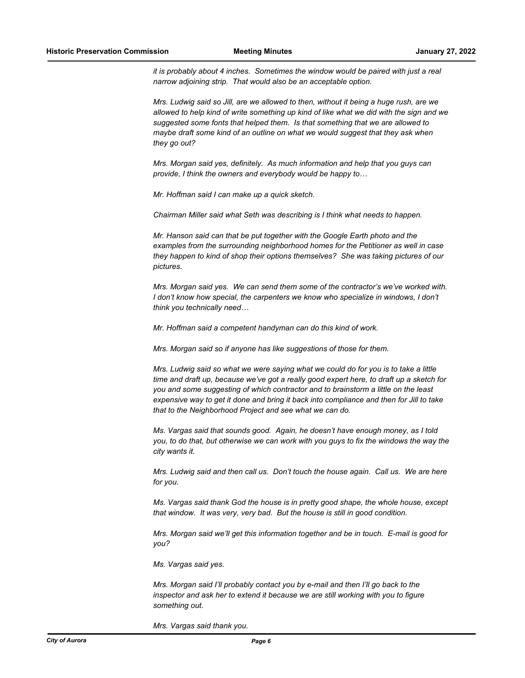*it is probably about 4 inches. Sometimes the window would be paired with just a real narrow adjoining strip. That would also be an acceptable option.*

*Mrs. Ludwig said so Jill, are we allowed to then, without it being a huge rush, are we allowed to help kind of write something up kind of like what we did with the sign and we suggested some fonts that helped them. Is that something that we are allowed to maybe draft some kind of an outline on what we would suggest that they ask when they go out?*

*Mrs. Morgan said yes, definitely. As much information and help that you guys can provide, I think the owners and everybody would be happy to…*

*Mr. Hoffman said I can make up a quick sketch.*

*Chairman Miller said what Seth was describing is I think what needs to happen.*

*Mr. Hanson said can that be put together with the Google Earth photo and the examples from the surrounding neighborhood homes for the Petitioner as well in case they happen to kind of shop their options themselves? She was taking pictures of our pictures.*

*Mrs. Morgan said yes. We can send them some of the contractor's we've worked with. I don't know how special, the carpenters we know who specialize in windows, I don't think you technically need…*

*Mr. Hoffman said a competent handyman can do this kind of work.*

*Mrs. Morgan said so if anyone has like suggestions of those for them.*

*Mrs. Ludwig said so what we were saying what we could do for you is to take a little time and draft up, because we've got a really good expert here, to draft up a sketch for you and some suggesting of which contractor and to brainstorm a little on the least expensive way to get it done and bring it back into compliance and then for Jill to take that to the Neighborhood Project and see what we can do.*

*Ms. Vargas said that sounds good. Again, he doesn't have enough money, as I told you, to do that, but otherwise we can work with you guys to fix the windows the way the city wants it.*

*Mrs. Ludwig said and then call us. Don't touch the house again. Call us. We are here for you.*

*Ms. Vargas said thank God the house is in pretty good shape, the whole house, except that window. It was very, very bad. But the house is still in good condition.*

*Mrs. Morgan said we'll get this information together and be in touch. E-mail is good for you?*

*Ms. Vargas said yes.*

*Mrs. Morgan said I'll probably contact you by e-mail and then I'll go back to the inspector and ask her to extend it because we are still working with you to figure something out.*

*Mrs. Vargas said thank you.*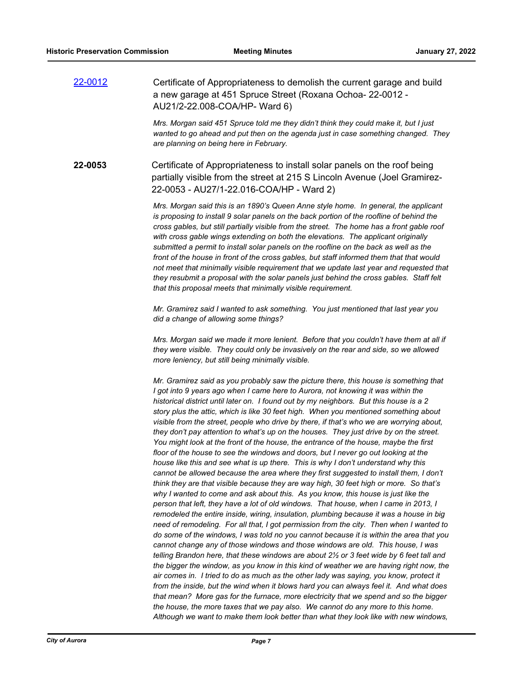[22-0012](http://aurora-il.legistar.com/gateway.aspx?m=l&id=/matter.aspx?key=11101) Certificate of Appropriateness to demolish the current garage and build a new garage at 451 Spruce Street (Roxana Ochoa- 22-0012 - AU21/2-22.008-COA/HP- Ward 6)

> *Mrs. Morgan said 451 Spruce told me they didn't think they could make it, but I just wanted to go ahead and put then on the agenda just in case something changed. They are planning on being here in February.*

**22-0053** Certificate of Appropriateness to install solar panels on the roof being partially visible from the street at 215 S Lincoln Avenue (Joel Gramirez-22-0053 - AU27/1-22.016-COA/HP - Ward 2)

> *Mrs. Morgan said this is an 1890's Queen Anne style home. In general, the applicant is proposing to install 9 solar panels on the back portion of the roofline of behind the cross gables, but still partially visible from the street. The home has a front gable roof with cross gable wings extending on both the elevations. The applicant originally submitted a permit to install solar panels on the roofline on the back as well as the front of the house in front of the cross gables, but staff informed them that that would not meet that minimally visible requirement that we update last year and requested that they resubmit a proposal with the solar panels just behind the cross gables. Staff felt that this proposal meets that minimally visible requirement.*

*Mr. Gramirez said I wanted to ask something. You just mentioned that last year you did a change of allowing some things?*

*Mrs. Morgan said we made it more lenient. Before that you couldn't have them at all if they were visible. They could only be invasively on the rear and side, so we allowed more leniency, but still being minimally visible.*

*Mr. Gramirez said as you probably saw the picture there, this house is something that I got into 9 years ago when I came here to Aurora, not knowing it was within the historical district until later on. I found out by my neighbors. But this house is a 2 story plus the attic, which is like 30 feet high. When you mentioned something about visible from the street, people who drive by there, if that's who we are worrying about, they don't pay attention to what's up on the houses. They just drive by on the street. You might look at the front of the house, the entrance of the house, maybe the first floor of the house to see the windows and doors, but I never go out looking at the house like this and see what is up there. This is why I don't understand why this cannot be allowed because the area where they first suggested to install them, I don't think they are that visible because they are way high, 30 feet high or more. So that's why I wanted to come and ask about this. As you know, this house is just like the person that left, they have a lot of old windows. That house, when I came in 2013, I remodeled the entire inside, wiring, insulation, plumbing because it was a house in big need of remodeling. For all that, I got permission from the city. Then when I wanted to do some of the windows, I was told no you cannot because it is within the area that you cannot change any of those windows and those windows are old. This house, I was telling Brandon here, that these windows are about 2½ or 3 feet wide by 6 feet tall and the bigger the window, as you know in this kind of weather we are having right now, the air comes in. I tried to do as much as the other lady was saying, you know, protect it from the inside, but the wind when it blows hard you can always feel it. And what does that mean? More gas for the furnace, more electricity that we spend and so the bigger the house, the more taxes that we pay also. We cannot do any more to this home. Although we want to make them look better than what they look like with new windows,*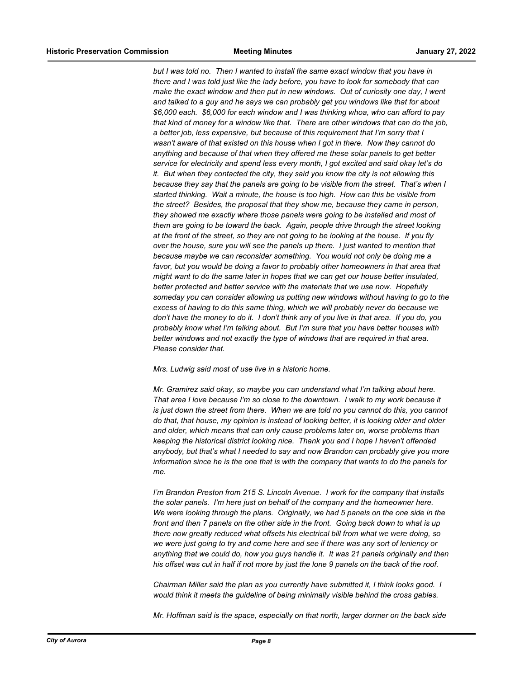*but I was told no. Then I wanted to install the same exact window that you have in there and I was told just like the lady before, you have to look for somebody that can make the exact window and then put in new windows. Out of curiosity one day, I went and talked to a guy and he says we can probably get you windows like that for about \$6,000 each. \$6,000 for each window and I was thinking whoa, who can afford to pay that kind of money for a window like that. There are other windows that can do the job, a better job, less expensive, but because of this requirement that I'm sorry that I wasn't aware of that existed on this house when I got in there. Now they cannot do anything and because of that when they offered me these solar panels to get better service for electricity and spend less every month, I got excited and said okay let's do it. But when they contacted the city, they said you know the city is not allowing this because they say that the panels are going to be visible from the street. That's when I started thinking. Wait a minute, the house is too high. How can this be visible from the street? Besides, the proposal that they show me, because they came in person, they showed me exactly where those panels were going to be installed and most of them are going to be toward the back. Again, people drive through the street looking at the front of the street, so they are not going to be looking at the house. If you fly over the house, sure you will see the panels up there. I just wanted to mention that because maybe we can reconsider something. You would not only be doing me a*  favor, but you would be doing a favor to probably other homeowners in that area that *might want to do the same later in hopes that we can get our house better insulated, better protected and better service with the materials that we use now. Hopefully someday you can consider allowing us putting new windows without having to go to the excess of having to do this same thing, which we will probably never do because we don't have the money to do it. I don't think any of you live in that area. If you do, you probably know what I'm talking about. But I'm sure that you have better houses with better windows and not exactly the type of windows that are required in that area. Please consider that.*

### *Mrs. Ludwig said most of use live in a historic home.*

*Mr. Gramirez said okay, so maybe you can understand what I'm talking about here. That area I love because I'm so close to the downtown. I walk to my work because it is just down the street from there. When we are told no you cannot do this, you cannot do that, that house, my opinion is instead of looking better, it is looking older and older and older, which means that can only cause problems later on, worse problems than keeping the historical district looking nice. Thank you and I hope I haven't offended anybody, but that's what I needed to say and now Brandon can probably give you more information since he is the one that is with the company that wants to do the panels for me.*

*I'm Brandon Preston from 215 S. Lincoln Avenue. I work for the company that installs the solar panels. I'm here just on behalf of the company and the homeowner here. We were looking through the plans. Originally, we had 5 panels on the one side in the front and then 7 panels on the other side in the front. Going back down to what is up there now greatly reduced what offsets his electrical bill from what we were doing, so we were just going to try and come here and see if there was any sort of leniency or anything that we could do, how you guys handle it. It was 21 panels originally and then his offset was cut in half if not more by just the lone 9 panels on the back of the roof.*

*Chairman Miller said the plan as you currently have submitted it, I think looks good. I would think it meets the guideline of being minimally visible behind the cross gables.*

*Mr. Hoffman said is the space, especially on that north, larger dormer on the back side*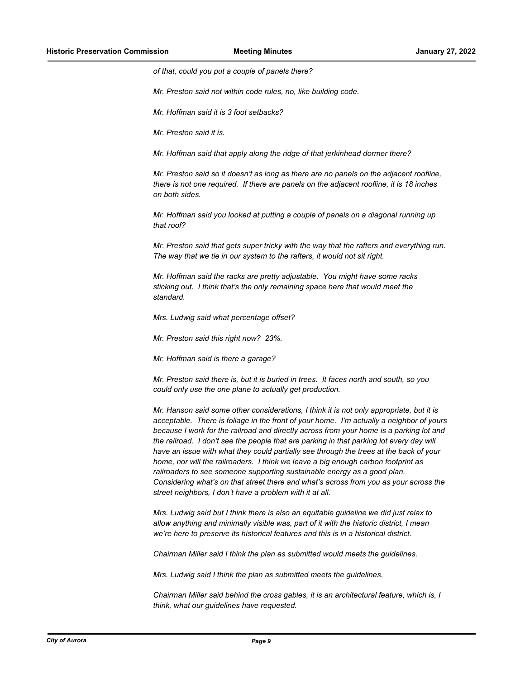*of that, could you put a couple of panels there?*

*Mr. Preston said not within code rules, no, like building code.*

*Mr. Hoffman said it is 3 foot setbacks?*

*Mr. Preston said it is.*

*Mr. Hoffman said that apply along the ridge of that jerkinhead dormer there?*

*Mr. Preston said so it doesn't as long as there are no panels on the adjacent roofline, there is not one required. If there are panels on the adjacent roofline, it is 18 inches on both sides.*

*Mr. Hoffman said you looked at putting a couple of panels on a diagonal running up that roof?*

*Mr. Preston said that gets super tricky with the way that the rafters and everything run. The way that we tie in our system to the rafters, it would not sit right.*

*Mr. Hoffman said the racks are pretty adjustable. You might have some racks sticking out. I think that's the only remaining space here that would meet the standard.*

*Mrs. Ludwig said what percentage offset?*

*Mr. Preston said this right now? 23%.*

*Mr. Hoffman said is there a garage?*

*Mr. Preston said there is, but it is buried in trees. It faces north and south, so you could only use the one plane to actually get production.*

*Mr. Hanson said some other considerations, I think it is not only appropriate, but it is acceptable. There is foliage in the front of your home. I'm actually a neighbor of yours because I work for the railroad and directly across from your home is a parking lot and the railroad. I don't see the people that are parking in that parking lot every day will have an issue with what they could partially see through the trees at the back of your home, nor will the railroaders. I think we leave a big enough carbon footprint as railroaders to see someone supporting sustainable energy as a good plan. Considering what's on that street there and what's across from you as your across the street neighbors, I don't have a problem with it at all.*

*Mrs. Ludwig said but I think there is also an equitable guideline we did just relax to allow anything and minimally visible was, part of it with the historic district, I mean we're here to preserve its historical features and this is in a historical district.*

*Chairman Miller said I think the plan as submitted would meets the guidelines.*

*Mrs. Ludwig said I think the plan as submitted meets the guidelines.*

*Chairman Miller said behind the cross gables, it is an architectural feature, which is, I think, what our guidelines have requested.*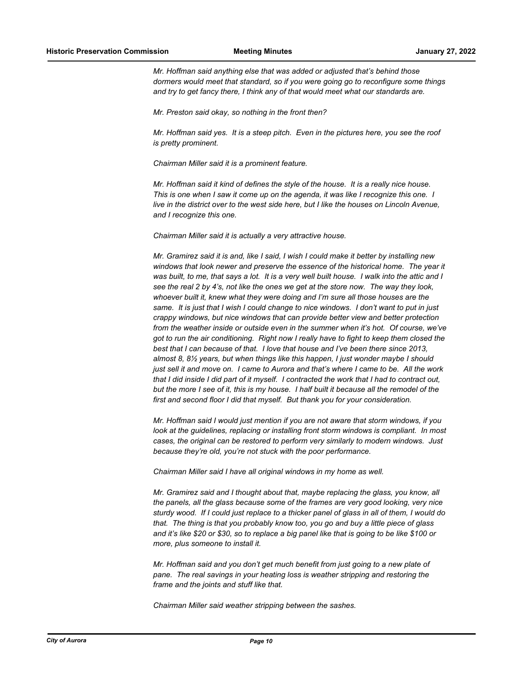*Mr. Hoffman said anything else that was added or adjusted that's behind those dormers would meet that standard, so if you were going go to reconfigure some things and try to get fancy there, I think any of that would meet what our standards are.*

*Mr. Preston said okay, so nothing in the front then?*

*Mr. Hoffman said yes. It is a steep pitch. Even in the pictures here, you see the roof is pretty prominent.*

*Chairman Miller said it is a prominent feature.*

*Mr. Hoffman said it kind of defines the style of the house. It is a really nice house. This is one when I saw it come up on the agenda, it was like I recognize this one. I live in the district over to the west side here, but I like the houses on Lincoln Avenue, and I recognize this one.*

*Chairman Miller said it is actually a very attractive house.*

*Mr. Gramirez said it is and, like I said, I wish I could make it better by installing new windows that look newer and preserve the essence of the historical home. The year it was built, to me, that says a lot. It is a very well built house. I walk into the attic and I see the real 2 by 4's, not like the ones we get at the store now. The way they look, whoever built it, knew what they were doing and I'm sure all those houses are the same. It is just that I wish I could change to nice windows. I don't want to put in just crappy windows, but nice windows that can provide better view and better protection from the weather inside or outside even in the summer when it's hot. Of course, we've got to run the air conditioning. Right now I really have to fight to keep them closed the best that I can because of that. I love that house and I've been there since 2013, almost 8, 8½ years, but when things like this happen, I just wonder maybe I should just sell it and move on. I came to Aurora and that's where I came to be. All the work that I did inside I did part of it myself. I contracted the work that I had to contract out, but the more I see of it, this is my house. I half built it because all the remodel of the first and second floor I did that myself. But thank you for your consideration.*

*Mr. Hoffman said I would just mention if you are not aware that storm windows, if you look at the guidelines, replacing or installing front storm windows is compliant. In most cases, the original can be restored to perform very similarly to modern windows. Just because they're old, you're not stuck with the poor performance.*

*Chairman Miller said I have all original windows in my home as well.*

*Mr. Gramirez said and I thought about that, maybe replacing the glass, you know, all the panels, all the glass because some of the frames are very good looking, very nice sturdy wood. If I could just replace to a thicker panel of glass in all of them, I would do that. The thing is that you probably know too, you go and buy a little piece of glass and it's like \$20 or \$30, so to replace a big panel like that is going to be like \$100 or more, plus someone to install it.*

*Mr. Hoffman said and you don't get much benefit from just going to a new plate of pane. The real savings in your heating loss is weather stripping and restoring the frame and the joints and stuff like that.*

*Chairman Miller said weather stripping between the sashes.*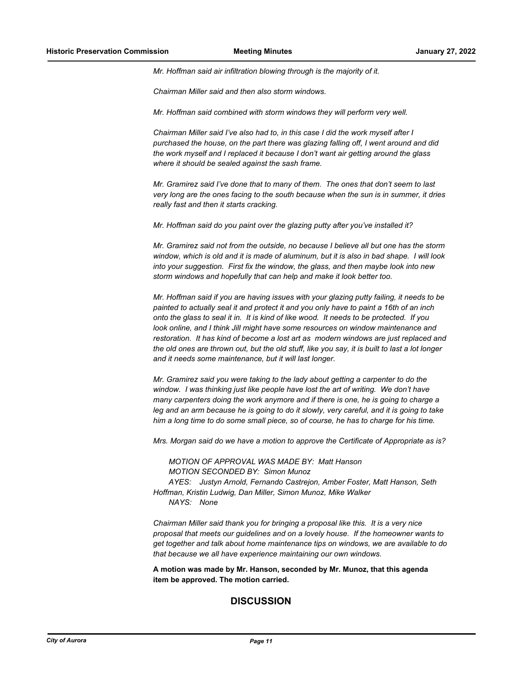*Mr. Hoffman said air infiltration blowing through is the majority of it.*

*Chairman Miller said and then also storm windows.*

*Mr. Hoffman said combined with storm windows they will perform very well.*

*Chairman Miller said I've also had to, in this case I did the work myself after I purchased the house, on the part there was glazing falling off, I went around and did the work myself and I replaced it because I don't want air getting around the glass where it should be sealed against the sash frame.*

*Mr. Gramirez said I've done that to many of them. The ones that don't seem to last very long are the ones facing to the south because when the sun is in summer, it dries really fast and then it starts cracking.*

*Mr. Hoffman said do you paint over the glazing putty after you've installed it?*

*Mr. Gramirez said not from the outside, no because I believe all but one has the storm window, which is old and it is made of aluminum, but it is also in bad shape. I will look into your suggestion. First fix the window, the glass, and then maybe look into new storm windows and hopefully that can help and make it look better too.*

*Mr. Hoffman said if you are having issues with your glazing putty failing, it needs to be painted to actually seal it and protect it and you only have to paint a 16th of an inch onto the glass to seal it in. It is kind of like wood. It needs to be protected. If you look online, and I think Jill might have some resources on window maintenance and restoration. It has kind of become a lost art as modern windows are just replaced and the old ones are thrown out, but the old stuff, like you say, it is built to last a lot longer and it needs some maintenance, but it will last longer.*

*Mr. Gramirez said you were taking to the lady about getting a carpenter to do the window. I was thinking just like people have lost the art of writing. We don't have many carpenters doing the work anymore and if there is one, he is going to charge a leg and an arm because he is going to do it slowly, very careful, and it is going to take him a long time to do some small piece, so of course, he has to charge for his time.*

*Mrs. Morgan said do we have a motion to approve the Certificate of Appropriate as is?*

*MOTION OF APPROVAL WAS MADE BY: Matt Hanson MOTION SECONDED BY: Simon Munoz AYES: Justyn Arnold, Fernando Castrejon, Amber Foster, Matt Hanson, Seth Hoffman, Kristin Ludwig, Dan Miller, Simon Munoz, Mike Walker NAYS: None*

*Chairman Miller said thank you for bringing a proposal like this. It is a very nice proposal that meets our guidelines and on a lovely house. If the homeowner wants to get together and talk about home maintenance tips on windows, we are available to do that because we all have experience maintaining our own windows.*

**A motion was made by Mr. Hanson, seconded by Mr. Munoz, that this agenda item be approved. The motion carried.**

## **DISCUSSION**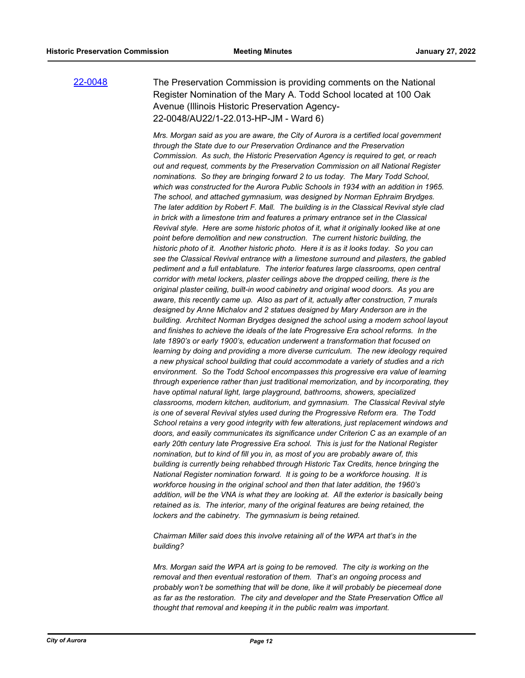## [22-0048](http://aurora-il.legistar.com/gateway.aspx?m=l&id=/matter.aspx?key=11137) The Preservation Commission is providing comments on the National Register Nomination of the Mary A. Todd School located at 100 Oak Avenue (Illinois Historic Preservation Agency-22-0048/AU22/1-22.013-HP-JM - Ward 6)

*Mrs. Morgan said as you are aware, the City of Aurora is a certified local government through the State due to our Preservation Ordinance and the Preservation Commission. As such, the Historic Preservation Agency is required to get, or reach out and request, comments by the Preservation Commission on all National Register nominations. So they are bringing forward 2 to us today. The Mary Todd School, which was constructed for the Aurora Public Schools in 1934 with an addition in 1965. The school, and attached gymnasium, was designed by Norman Ephraim Brydges. The later addition by Robert F. Mall. The building is in the Classical Revival style clad in brick with a limestone trim and features a primary entrance set in the Classical Revival style. Here are some historic photos of it, what it originally looked like at one point before demolition and new construction. The current historic building, the historic photo of it. Another historic photo. Here it is as it looks today. So you can see the Classical Revival entrance with a limestone surround and pilasters, the gabled pediment and a full entablature. The interior features large classrooms, open central corridor with metal lockers, plaster ceilings above the dropped ceiling, there is the original plaster ceiling, built-in wood cabinetry and original wood doors. As you are aware, this recently came up. Also as part of it, actually after construction, 7 murals designed by Anne Michalov and 2 statues designed by Mary Anderson are in the building. Architect Norman Brydges designed the school using a modern school layout and finishes to achieve the ideals of the late Progressive Era school reforms. In the late 1890's or early 1900's, education underwent a transformation that focused on learning by doing and providing a more diverse curriculum. The new ideology required a new physical school building that could accommodate a variety of studies and a rich environment. So the Todd School encompasses this progressive era value of learning through experience rather than just traditional memorization, and by incorporating, they have optimal natural light, large playground, bathrooms, showers, specialized classrooms, modern kitchen, auditorium, and gymnasium. The Classical Revival style is one of several Revival styles used during the Progressive Reform era. The Todd School retains a very good integrity with few alterations, just replacement windows and doors, and easily communicates its significance under Criterion C as an example of an early 20th century late Progressive Era school. This is just for the National Register nomination, but to kind of fill you in, as most of you are probably aware of, this building is currently being rehabbed through Historic Tax Credits, hence bringing the National Register nomination forward. It is going to be a workforce housing. It is workforce housing in the original school and then that later addition, the 1960's*  addition, will be the VNA is what they are looking at. All the exterior is basically being *retained as is. The interior, many of the original features are being retained, the lockers and the cabinetry. The gymnasium is being retained.*

*Chairman Miller said does this involve retaining all of the WPA art that's in the building?*

*Mrs. Morgan said the WPA art is going to be removed. The city is working on the removal and then eventual restoration of them. That's an ongoing process and probably won't be something that will be done, like it will probably be piecemeal done as far as the restoration. The city and developer and the State Preservation Office all thought that removal and keeping it in the public realm was important.*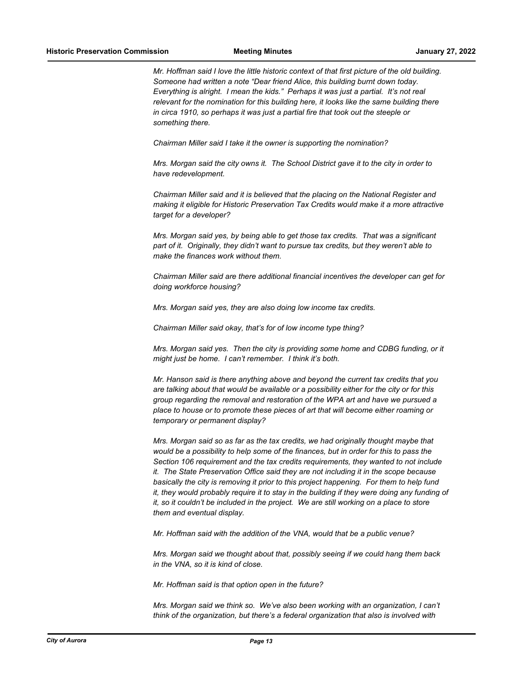*Mr. Hoffman said I love the little historic context of that first picture of the old building. Someone had written a note "Dear friend Alice, this building burnt down today. Everything is alright. I mean the kids." Perhaps it was just a partial. It's not real relevant for the nomination for this building here, it looks like the same building there in circa 1910, so perhaps it was just a partial fire that took out the steeple or something there.*

*Chairman Miller said I take it the owner is supporting the nomination?*

*Mrs. Morgan said the city owns it. The School District gave it to the city in order to have redevelopment.*

*Chairman Miller said and it is believed that the placing on the National Register and making it eligible for Historic Preservation Tax Credits would make it a more attractive target for a developer?*

*Mrs. Morgan said yes, by being able to get those tax credits. That was a significant part of it. Originally, they didn't want to pursue tax credits, but they weren't able to make the finances work without them.*

*Chairman Miller said are there additional financial incentives the developer can get for doing workforce housing?*

*Mrs. Morgan said yes, they are also doing low income tax credits.*

*Chairman Miller said okay, that's for of low income type thing?*

*Mrs. Morgan said yes. Then the city is providing some home and CDBG funding, or it might just be home. I can't remember. I think it's both.*

*Mr. Hanson said is there anything above and beyond the current tax credits that you are talking about that would be available or a possibility either for the city or for this group regarding the removal and restoration of the WPA art and have we pursued a place to house or to promote these pieces of art that will become either roaming or temporary or permanent display?*

*Mrs. Morgan said so as far as the tax credits, we had originally thought maybe that would be a possibility to help some of the finances, but in order for this to pass the Section 106 requirement and the tax credits requirements, they wanted to not include it. The State Preservation Office said they are not including it in the scope because basically the city is removing it prior to this project happening. For them to help fund it, they would probably require it to stay in the building if they were doing any funding of it, so it couldn't be included in the project. We are still working on a place to store them and eventual display.*

*Mr. Hoffman said with the addition of the VNA, would that be a public venue?*

*Mrs. Morgan said we thought about that, possibly seeing if we could hang them back in the VNA, so it is kind of close.*

*Mr. Hoffman said is that option open in the future?*

*Mrs. Morgan said we think so. We've also been working with an organization, I can't think of the organization, but there's a federal organization that also is involved with*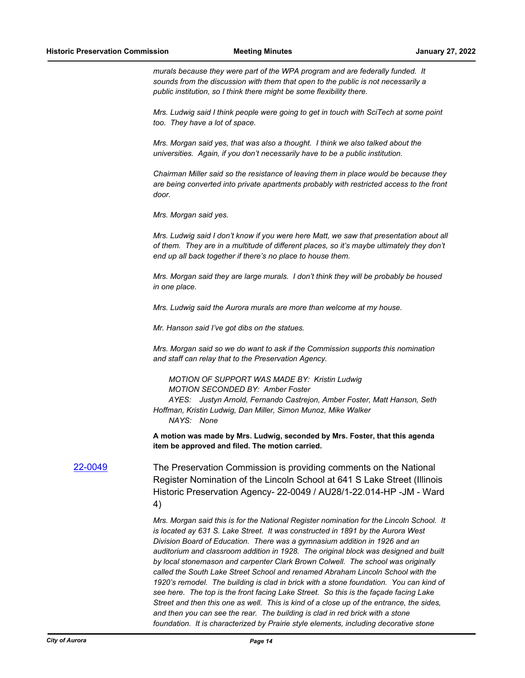*murals because they were part of the WPA program and are federally funded. It sounds from the discussion with them that open to the public is not necessarily a public institution, so I think there might be some flexibility there.*

*Mrs. Ludwig said I think people were going to get in touch with SciTech at some point too. They have a lot of space.*

*Mrs. Morgan said yes, that was also a thought. I think we also talked about the universities. Again, if you don't necessarily have to be a public institution.*

*Chairman Miller said so the resistance of leaving them in place would be because they are being converted into private apartments probably with restricted access to the front door.*

*Mrs. Morgan said yes.*

*Mrs. Ludwig said I don't know if you were here Matt, we saw that presentation about all of them. They are in a multitude of different places, so it's maybe ultimately they don't end up all back together if there's no place to house them.*

*Mrs. Morgan said they are large murals. I don't think they will be probably be housed in one place.*

*Mrs. Ludwig said the Aurora murals are more than welcome at my house.*

*Mr. Hanson said I've got dibs on the statues.*

*Mrs. Morgan said so we do want to ask if the Commission supports this nomination and staff can relay that to the Preservation Agency.*

*MOTION OF SUPPORT WAS MADE BY: Kristin Ludwig MOTION SECONDED BY: Amber Foster AYES: Justyn Arnold, Fernando Castrejon, Amber Foster, Matt Hanson, Seth Hoffman, Kristin Ludwig, Dan Miller, Simon Munoz, Mike Walker NAYS: None*

**A motion was made by Mrs. Ludwig, seconded by Mrs. Foster, that this agenda item be approved and filed. The motion carried.**

[22-0049](http://aurora-il.legistar.com/gateway.aspx?m=l&id=/matter.aspx?key=11138) The Preservation Commission is providing comments on the National Register Nomination of the Lincoln School at 641 S Lake Street (Illinois Historic Preservation Agency- 22-0049 / AU28/1-22.014-HP -JM - Ward 4)

> *Mrs. Morgan said this is for the National Register nomination for the Lincoln School. It is located ay 631 S. Lake Street. It was constructed in 1891 by the Aurora West Division Board of Education. There was a gymnasium addition in 1926 and an auditorium and classroom addition in 1928. The original block was designed and built by local stonemason and carpenter Clark Brown Colwell. The school was originally called the South Lake Street School and renamed Abraham Lincoln School with the 1920's remodel. The building is clad in brick with a stone foundation. You can kind of see here. The top is the front facing Lake Street. So this is the façade facing Lake Street and then this one as well. This is kind of a close up of the entrance, the sides, and then you can see the rear. The building is clad in red brick with a stone foundation. It is characterized by Prairie style elements, including decorative stone*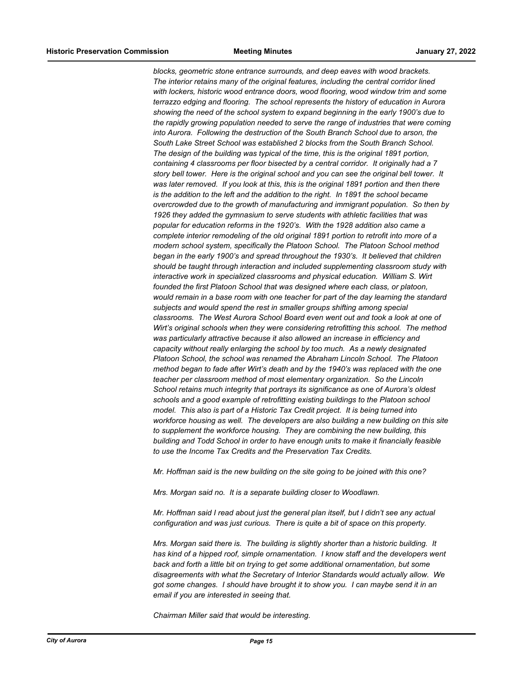*blocks, geometric stone entrance surrounds, and deep eaves with wood brackets. The interior retains many of the original features, including the central corridor lined with lockers, historic wood entrance doors, wood flooring, wood window trim and some terrazzo edging and flooring. The school represents the history of education in Aurora showing the need of the school system to expand beginning in the early 1900's due to the rapidly growing population needed to serve the range of industries that were coming into Aurora. Following the destruction of the South Branch School due to arson, the South Lake Street School was established 2 blocks from the South Branch School. The design of the building was typical of the time, this is the original 1891 portion, containing 4 classrooms per floor bisected by a central corridor. It originally had a 7 story bell tower. Here is the original school and you can see the original bell tower. It was later removed. If you look at this, this is the original 1891 portion and then there is the addition to the left and the addition to the right. In 1891 the school became overcrowded due to the growth of manufacturing and immigrant population. So then by 1926 they added the gymnasium to serve students with athletic facilities that was popular for education reforms in the 1920's. With the 1928 addition also came a complete interior remodeling of the old original 1891 portion to retrofit into more of a modern school system, specifically the Platoon School. The Platoon School method began in the early 1900's and spread throughout the 1930's. It believed that children should be taught through interaction and included supplementing classroom study with interactive work in specialized classrooms and physical education. William S. Wirt founded the first Platoon School that was designed where each class, or platoon, would remain in a base room with one teacher for part of the day learning the standard subjects and would spend the rest in smaller groups shifting among special classrooms. The West Aurora School Board even went out and took a look at one of Wirt's original schools when they were considering retrofitting this school. The method was particularly attractive because it also allowed an increase in efficiency and capacity without really enlarging the school by too much. As a newly designated Platoon School, the school was renamed the Abraham Lincoln School. The Platoon method began to fade after Wirt's death and by the 1940's was replaced with the one teacher per classroom method of most elementary organization. So the Lincoln School retains much integrity that portrays its significance as one of Aurora's oldest schools and a good example of retrofitting existing buildings to the Platoon school model. This also is part of a Historic Tax Credit project. It is being turned into workforce housing as well. The developers are also building a new building on this site to supplement the workforce housing. They are combining the new building, this building and Todd School in order to have enough units to make it financially feasible to use the Income Tax Credits and the Preservation Tax Credits.*

*Mr. Hoffman said is the new building on the site going to be joined with this one?*

*Mrs. Morgan said no. It is a separate building closer to Woodlawn.*

*Mr. Hoffman said I read about just the general plan itself, but I didn't see any actual configuration and was just curious. There is quite a bit of space on this property.*

*Mrs. Morgan said there is. The building is slightly shorter than a historic building. It has kind of a hipped roof, simple ornamentation. I know staff and the developers went back and forth a little bit on trying to get some additional ornamentation, but some disagreements with what the Secretary of Interior Standards would actually allow. We got some changes. I should have brought it to show you. I can maybe send it in an email if you are interested in seeing that.*

*Chairman Miller said that would be interesting.*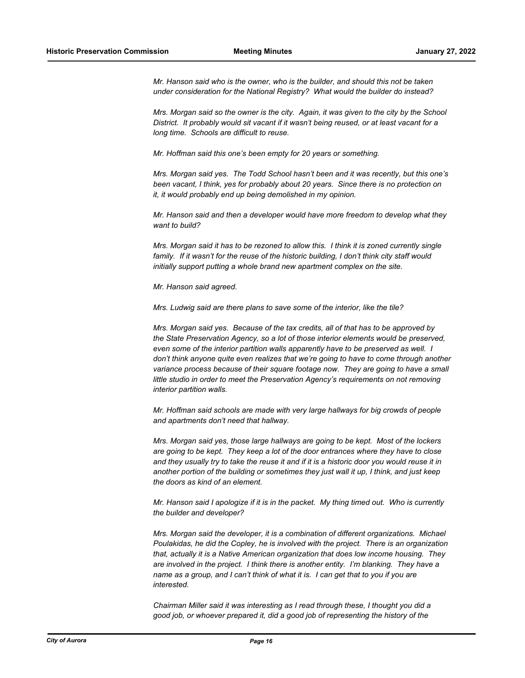*Mr. Hanson said who is the owner, who is the builder, and should this not be taken under consideration for the National Registry? What would the builder do instead?*

*Mrs. Morgan said so the owner is the city. Again, it was given to the city by the School District. It probably would sit vacant if it wasn't being reused, or at least vacant for a long time. Schools are difficult to reuse.*

*Mr. Hoffman said this one's been empty for 20 years or something.*

*Mrs. Morgan said yes. The Todd School hasn't been and it was recently, but this one's been vacant, I think, yes for probably about 20 years. Since there is no protection on it, it would probably end up being demolished in my opinion.*

*Mr. Hanson said and then a developer would have more freedom to develop what they want to build?*

*Mrs. Morgan said it has to be rezoned to allow this. I think it is zoned currently single family. If it wasn't for the reuse of the historic building, I don't think city staff would initially support putting a whole brand new apartment complex on the site.*

*Mr. Hanson said agreed.*

*Mrs. Ludwig said are there plans to save some of the interior, like the tile?*

*Mrs. Morgan said yes. Because of the tax credits, all of that has to be approved by the State Preservation Agency, so a lot of those interior elements would be preserved, even some of the interior partition walls apparently have to be preserved as well. I don't think anyone quite even realizes that we're going to have to come through another variance process because of their square footage now. They are going to have a small little studio in order to meet the Preservation Agency's requirements on not removing interior partition walls.*

*Mr. Hoffman said schools are made with very large hallways for big crowds of people and apartments don't need that hallway.*

*Mrs. Morgan said yes, those large hallways are going to be kept. Most of the lockers are going to be kept. They keep a lot of the door entrances where they have to close and they usually try to take the reuse it and if it is a historic door you would reuse it in another portion of the building or sometimes they just wall it up, I think, and just keep the doors as kind of an element.*

*Mr. Hanson said I apologize if it is in the packet. My thing timed out. Who is currently the builder and developer?*

*Mrs. Morgan said the developer, it is a combination of different organizations. Michael Poulakidas, he did the Copley, he is involved with the project. There is an organization that, actually it is a Native American organization that does low income housing. They are involved in the project. I think there is another entity. I'm blanking. They have a name as a group, and I can't think of what it is. I can get that to you if you are interested.*

*Chairman Miller said it was interesting as I read through these, I thought you did a good job, or whoever prepared it, did a good job of representing the history of the*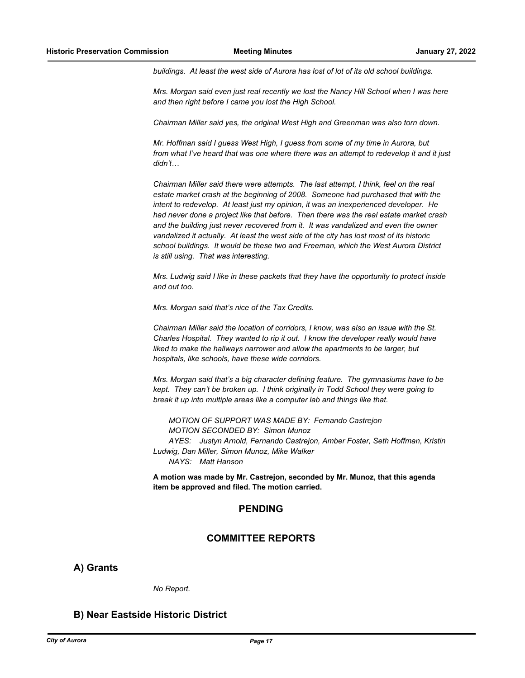*buildings. At least the west side of Aurora has lost of lot of its old school buildings.*

*Mrs. Morgan said even just real recently we lost the Nancy Hill School when I was here and then right before I came you lost the High School.*

*Chairman Miller said yes, the original West High and Greenman was also torn down.*

*Mr. Hoffman said I guess West High, I guess from some of my time in Aurora, but from what I've heard that was one where there was an attempt to redevelop it and it just didn't…*

*Chairman Miller said there were attempts. The last attempt, I think, feel on the real estate market crash at the beginning of 2008. Someone had purchased that with the intent to redevelop. At least just my opinion, it was an inexperienced developer. He had never done a project like that before. Then there was the real estate market crash and the building just never recovered from it. It was vandalized and even the owner vandalized it actually. At least the west side of the city has lost most of its historic school buildings. It would be these two and Freeman, which the West Aurora District is still using. That was interesting.*

*Mrs. Ludwig said I like in these packets that they have the opportunity to protect inside and out too.*

*Mrs. Morgan said that's nice of the Tax Credits.*

*Chairman Miller said the location of corridors, I know, was also an issue with the St. Charles Hospital. They wanted to rip it out. I know the developer really would have liked to make the hallways narrower and allow the apartments to be larger, but hospitals, like schools, have these wide corridors.*

*Mrs. Morgan said that's a big character defining feature. The gymnasiums have to be kept. They can't be broken up. I think originally in Todd School they were going to break it up into multiple areas like a computer lab and things like that.*

*MOTION OF SUPPORT WAS MADE BY: Fernando Castrejon MOTION SECONDED BY: Simon Munoz AYES: Justyn Arnold, Fernando Castrejon, Amber Foster, Seth Hoffman, Kristin Ludwig, Dan Miller, Simon Munoz, Mike Walker NAYS: Matt Hanson*

**A motion was made by Mr. Castrejon, seconded by Mr. Munoz, that this agenda item be approved and filed. The motion carried.**

## **PENDING**

## **COMMITTEE REPORTS**

**A) Grants**

*No Report.*

## **B) Near Eastside Historic District**